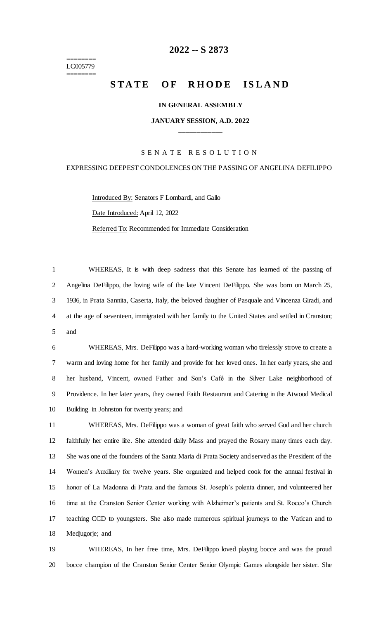======== LC005779 ========

# **-- S 2873**

# **STATE OF RHODE ISLAND**

#### **IN GENERAL ASSEMBLY**

### **JANUARY SESSION, A.D. 2022 \_\_\_\_\_\_\_\_\_\_\_\_**

#### S E N A T E R E S O L U T I O N

## EXPRESSING DEEPEST CONDOLENCES ON THE PASSING OF ANGELINA DEFILIPPO

Introduced By: Senators F Lombardi, and Gallo

Date Introduced: April 12, 2022

Referred To: Recommended for Immediate Consideration

 WHEREAS, It is with deep sadness that this Senate has learned of the passing of Angelina DeFilippo, the loving wife of the late Vincent DeFilippo. She was born on March 25, 1936, in Prata Sannita, Caserta, Italy, the beloved daughter of Pasquale and Vincenza Giradi, and at the age of seventeen, immigrated with her family to the United States and settled in Cranston; and

 WHEREAS, Mrs. DeFilippo was a hard-working woman who tirelessly strove to create a warm and loving home for her family and provide for her loved ones. In her early years, she and her husband, Vincent, owned Father and Son's Café in the Silver Lake neighborhood of Providence. In her later years, they owned Faith Restaurant and Catering in the Atwood Medical Building in Johnston for twenty years; and

 WHEREAS, Mrs. DeFilippo was a woman of great faith who served God and her church faithfully her entire life. She attended daily Mass and prayed the Rosary many times each day. She was one of the founders of the Santa Maria di Prata Society and served as the President of the Women's Auxiliary for twelve years. She organized and helped cook for the annual festival in honor of La Madonna di Prata and the famous St. Joseph's polenta dinner, and volunteered her time at the Cranston Senior Center working with Alzheimer's patients and St. Rocco's Church teaching CCD to youngsters. She also made numerous spiritual journeys to the Vatican and to Medjugorje; and

 WHEREAS, In her free time, Mrs. DeFilippo loved playing bocce and was the proud bocce champion of the Cranston Senior Center Senior Olympic Games alongside her sister. She